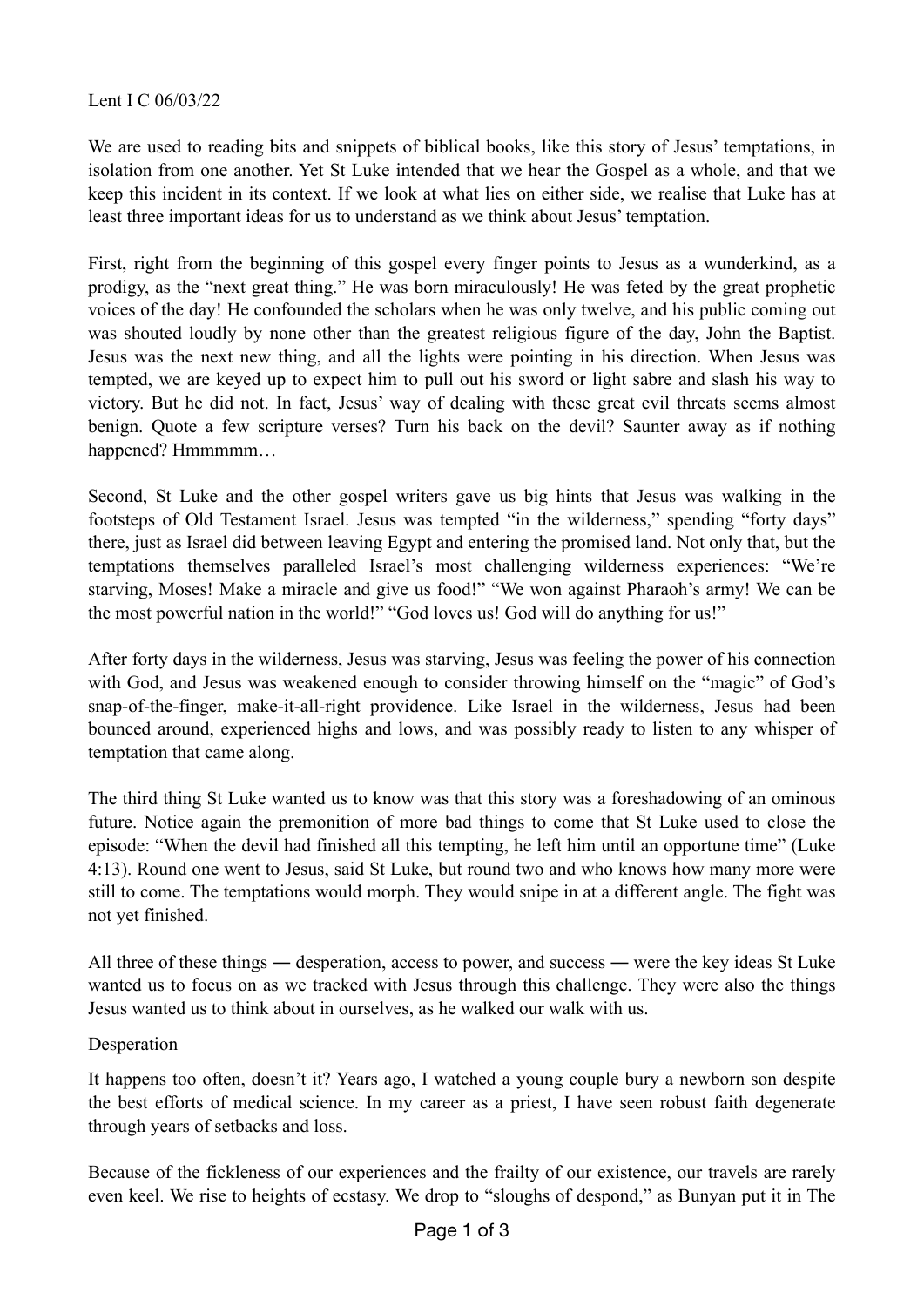We are used to reading bits and snippets of biblical books, like this story of Jesus' temptations, in isolation from one another. Yet St Luke intended that we hear the Gospel as a whole, and that we keep this incident in its context. If we look at what lies on either side, we realise that Luke has at least three important ideas for us to understand as we think about Jesus' temptation.

First, right from the beginning of this gospel every finger points to Jesus as a wunderkind, as a prodigy, as the "next great thing." He was born miraculously! He was feted by the great prophetic voices of the day! He confounded the scholars when he was only twelve, and his public coming out was shouted loudly by none other than the greatest religious figure of the day, John the Baptist. Jesus was the next new thing, and all the lights were pointing in his direction. When Jesus was tempted, we are keyed up to expect him to pull out his sword or light sabre and slash his way to victory. But he did not. In fact, Jesus' way of dealing with these great evil threats seems almost benign. Quote a few scripture verses? Turn his back on the devil? Saunter away as if nothing happened? Hmmmmm...

Second, St Luke and the other gospel writers gave us big hints that Jesus was walking in the footsteps of Old Testament Israel. Jesus was tempted "in the wilderness," spending "forty days" there, just as Israel did between leaving Egypt and entering the promised land. Not only that, but the temptations themselves paralleled Israel's most challenging wilderness experiences: "We're starving, Moses! Make a miracle and give us food!" "We won against Pharaoh's army! We can be the most powerful nation in the world!" "God loves us! God will do anything for us!"

After forty days in the wilderness, Jesus was starving, Jesus was feeling the power of his connection with God, and Jesus was weakened enough to consider throwing himself on the "magic" of God's snap-of-the-finger, make-it-all-right providence. Like Israel in the wilderness, Jesus had been bounced around, experienced highs and lows, and was possibly ready to listen to any whisper of temptation that came along.

The third thing St Luke wanted us to know was that this story was a foreshadowing of an ominous future. Notice again the premonition of more bad things to come that St Luke used to close the episode: "When the devil had finished all this tempting, he left him until an opportune time" (Luke 4:13). Round one went to Jesus, said St Luke, but round two and who knows how many more were still to come. The temptations would morph. They would snipe in at a different angle. The fight was not yet finished.

All three of these things ― desperation, access to power, and success ― were the key ideas St Luke wanted us to focus on as we tracked with Jesus through this challenge. They were also the things Jesus wanted us to think about in ourselves, as he walked our walk with us.

## Desperation

It happens too often, doesn't it? Years ago, I watched a young couple bury a newborn son despite the best efforts of medical science. In my career as a priest, I have seen robust faith degenerate through years of setbacks and loss.

Because of the fickleness of our experiences and the frailty of our existence, our travels are rarely even keel. We rise to heights of ecstasy. We drop to "sloughs of despond," as Bunyan put it in The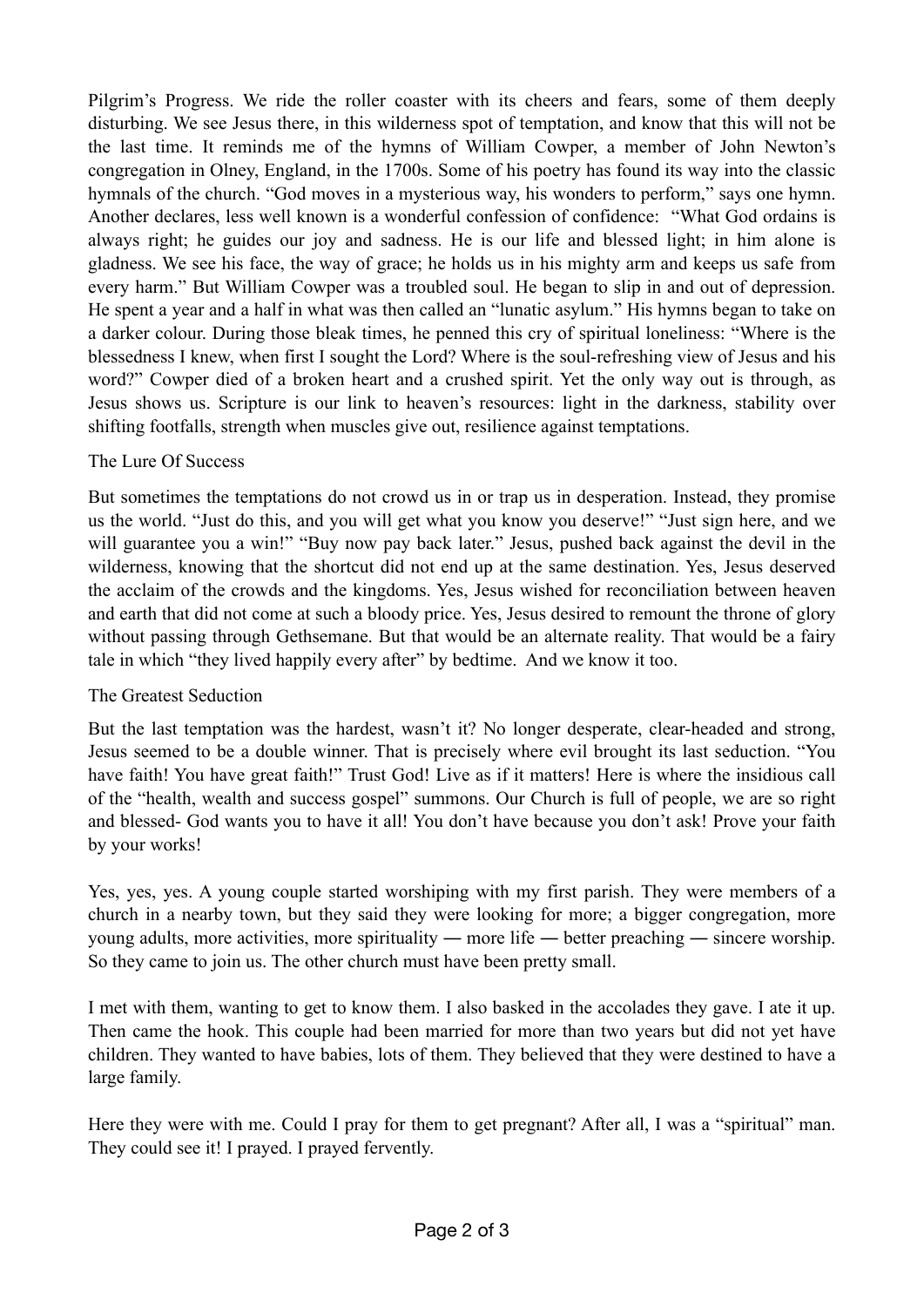Pilgrim's Progress. We ride the roller coaster with its cheers and fears, some of them deeply disturbing. We see Jesus there, in this wilderness spot of temptation, and know that this will not be the last time. It reminds me of the hymns of William Cowper, a member of John Newton's congregation in Olney, England, in the 1700s. Some of his poetry has found its way into the classic hymnals of the church. "God moves in a mysterious way, his wonders to perform," says one hymn. Another declares, less well known is a wonderful confession of confidence: "What God ordains is always right; he guides our joy and sadness. He is our life and blessed light; in him alone is gladness. We see his face, the way of grace; he holds us in his mighty arm and keeps us safe from every harm." But William Cowper was a troubled soul. He began to slip in and out of depression. He spent a year and a half in what was then called an "lunatic asylum." His hymns began to take on a darker colour. During those bleak times, he penned this cry of spiritual loneliness: "Where is the blessedness I knew, when first I sought the Lord? Where is the soul-refreshing view of Jesus and his word?" Cowper died of a broken heart and a crushed spirit. Yet the only way out is through, as Jesus shows us. Scripture is our link to heaven's resources: light in the darkness, stability over shifting footfalls, strength when muscles give out, resilience against temptations.

## The Lure Of Success

But sometimes the temptations do not crowd us in or trap us in desperation. Instead, they promise us the world. "Just do this, and you will get what you know you deserve!" "Just sign here, and we will guarantee you a win!" "Buy now pay back later." Jesus, pushed back against the devil in the wilderness, knowing that the shortcut did not end up at the same destination. Yes, Jesus deserved the acclaim of the crowds and the kingdoms. Yes, Jesus wished for reconciliation between heaven and earth that did not come at such a bloody price. Yes, Jesus desired to remount the throne of glory without passing through Gethsemane. But that would be an alternate reality. That would be a fairy tale in which "they lived happily every after" by bedtime. And we know it too.

## The Greatest Seduction

But the last temptation was the hardest, wasn't it? No longer desperate, clear-headed and strong, Jesus seemed to be a double winner. That is precisely where evil brought its last seduction. "You have faith! You have great faith!" Trust God! Live as if it matters! Here is where the insidious call of the "health, wealth and success gospel" summons. Our Church is full of people, we are so right and blessed- God wants you to have it all! You don't have because you don't ask! Prove your faith by your works!

Yes, yes, yes. A young couple started worshiping with my first parish. They were members of a church in a nearby town, but they said they were looking for more; a bigger congregation, more young adults, more activities, more spirituality ― more life ― better preaching ― sincere worship. So they came to join us. The other church must have been pretty small.

I met with them, wanting to get to know them. I also basked in the accolades they gave. I ate it up. Then came the hook. This couple had been married for more than two years but did not yet have children. They wanted to have babies, lots of them. They believed that they were destined to have a large family.

Here they were with me. Could I pray for them to get pregnant? After all, I was a "spiritual" man. They could see it! I prayed. I prayed fervently.